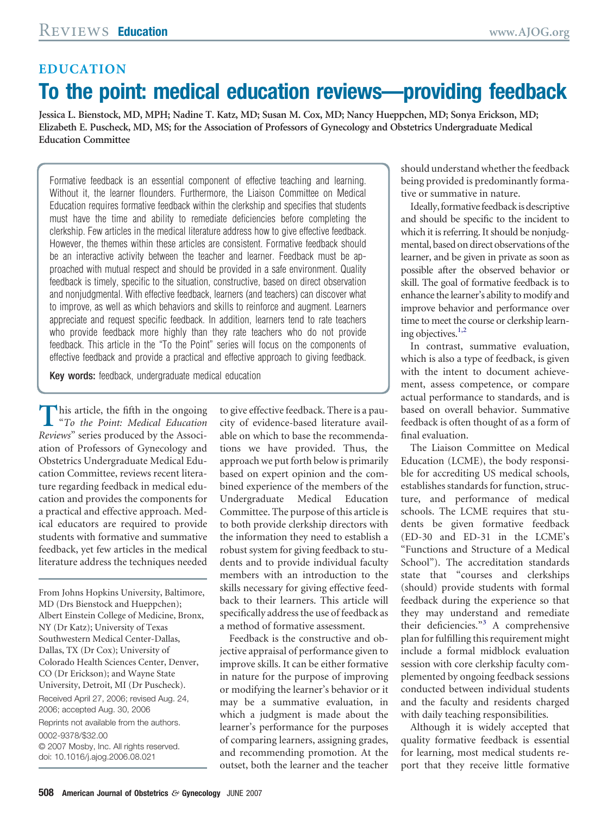# **EDUCATION To the point: medical education reviews—providing feedback**

**Jessica L. Bienstock, MD, MPH; Nadine T. Katz, MD; Susan M. Cox, MD; Nancy Hueppchen, MD; Sonya Erickson, MD; Elizabeth E. Puscheck, MD, MS; for the Association of Professors of Gynecology and Obstetrics Undergraduate Medical Education Committee**

Formative feedback is an essential component of effective teaching and learning. Without it, the learner flounders. Furthermore, the Liaison Committee on Medical Education requires formative feedback within the clerkship and specifies that students must have the time and ability to remediate deficiencies before completing the clerkship. Few articles in the medical literature address how to give effective feedback. However, the themes within these articles are consistent. Formative feedback should be an interactive activity between the teacher and learner. Feedback must be approached with mutual respect and should be provided in a safe environment. Quality feedback is timely, specific to the situation, constructive, based on direct observation and nonjudgmental. With effective feedback, learners (and teachers) can discover what to improve, as well as which behaviors and skills to reinforce and augment. Learners appreciate and request specific feedback. In addition, learners tend to rate teachers who provide feedback more highly than they rate teachers who do not provide feedback. This article in the "To the Point" series will focus on the components of effective feedback and provide a practical and effective approach to giving feedback.

Key words: feedback, undergraduate medical education

This article, the fifth in the ongoing "*To the Point: Medical Education Reviews*" series produced by the Association of Professors of Gynecology and Obstetrics Undergraduate Medical Education Committee, reviews recent literature regarding feedback in medical education and provides the components for a practical and effective approach. Medical educators are required to provide students with formative and summative feedback, yet few articles in the medical literature address the techniques needed

From Johns Hopkins University, Baltimore, MD (Drs Bienstock and Hueppchen); Albert Einstein College of Medicine, Bronx, NY (Dr Katz); University of Texas Southwestern Medical Center-Dallas, Dallas, TX (Dr Cox); University of Colorado Health Sciences Center, Denver, CO (Dr Erickson); and Wayne State University, Detroit, MI (Dr Puscheck).

Received April 27, 2006; revised Aug. 24, 2006; accepted Aug. 30, 2006

Reprints not available from the authors. 0002-9378/\$32.00

© 2007 Mosby, Inc. All rights reserved. doi: 10.1016/j.ajog.2006.08.021

to give effective feedback. There is a paucity of evidence-based literature available on which to base the recommendations we have provided. Thus, the approach we put forth below is primarily based on expert opinion and the combined experience of the members of the Undergraduate Medical Education Committee. The purpose of this article is to both provide clerkship directors with the information they need to establish a robust system for giving feedback to students and to provide individual faculty members with an introduction to the skills necessary for giving effective feedback to their learners. This article will specifically address the use of feedback as a method of formative assessment.

Feedback is the constructive and objective appraisal of performance given to improve skills. It can be either formative in nature for the purpose of improving or modifying the learner's behavior or it may be a summative evaluation, in which a judgment is made about the learner's performance for the purposes of comparing learners, assigning grades, and recommending promotion. At the outset, both the learner and the teacher

should understand whether the feedback being provided is predominantly formative or summative in nature.

Ideally, formative feedback is descriptive and should be specific to the incident to which it is referring. It should be nonjudgmental, based on direct observations of the learner, and be given in private as soon as possible after the observed behavior or skill. The goal of formative feedback is to enhance the learner's ability to modify and improve behavior and performance over time to meet the course or clerkship learning objectives.<sup>1,2</sup>

In contrast, summative evaluation, which is also a type of feedback, is given with the intent to document achievement, assess competence, or compare actual performance to standards, and is based on overall behavior. Summative feedback is often thought of as a form of final evaluation.

The Liaison Committee on Medical Education (LCME), the body responsible for accrediting US medical schools, establishes standards for function, structure, and performance of medical schools. The LCME requires that students be given formative feedback (ED-30 and ED-31 in the LCME's "Functions and Structure of a Medical School"). The accreditation standards state that "courses and clerkships (should) provide students with formal feedback during the experience so that they may understand and remediate their deficiencies."[3](#page-4-0) A comprehensive plan for fulfilling this requirement might include a formal midblock evaluation session with core clerkship faculty complemented by ongoing feedback sessions conducted between individual students and the faculty and residents charged with daily teaching responsibilities.

Although it is widely accepted that quality formative feedback is essential for learning, most medical students report that they receive little formative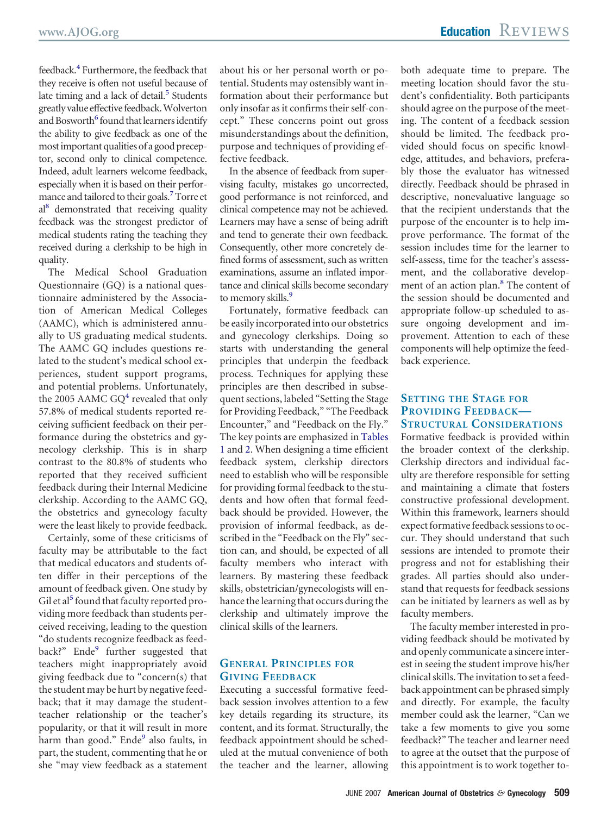feedback.<sup>4</sup> Furthermore, the feedback that they receive is often not useful because of late timing and a lack of detail.<sup>5</sup> Students greatly value effective feedback. Wolverton and Bosworth<sup>6</sup> found that learners identify the ability to give feedback as one of the most important qualities of a good preceptor, second only to clinical competence. Indeed, adult learners welcome feedback, especially when it is based on their performance and tailored to their goals.<sup>7</sup> Torre et al<sup>8</sup> demonstrated that receiving quality feedback was the strongest predictor of medical students rating the teaching they received during a clerkship to be high in quality.

The Medical School Graduation Questionnaire (GQ) is a national questionnaire administered by the Association of American Medical Colleges (AAMC), which is administered annually to US graduating medical students. The AAMC GQ includes questions related to the student's medical school experiences, student support programs, and potential problems. Unfortunately, the 2005 AAMC  $GO<sup>4</sup>$  $GO<sup>4</sup>$  $GO<sup>4</sup>$  revealed that only 57.8% of medical students reported receiving sufficient feedback on their performance during the obstetrics and gynecology clerkship. This is in sharp contrast to the 80.8% of students who reported that they received sufficient feedback during their Internal Medicine clerkship. According to the AAMC GQ, the obstetrics and gynecology faculty were the least likely to provide feedback.

Certainly, some of these criticisms of faculty may be attributable to the fact that medical educators and students often differ in their perceptions of the amount of feedback given. One study by Gil et al<sup>5</sup> found that faculty reported providing more feedback than students perceived receiving, leading to the question "do students recognize feedback as feed-back?" Ende<sup>[9](#page-5-0)</sup> further suggested that teachers might inappropriately avoid giving feedback due to "concern(s) that the student may be hurt by negative feedback; that it may damage the studentteacher relationship or the teacher's popularity, or that it will result in more harm than good." Ende<sup>[9](#page-5-0)</sup> also faults, in part, the student, commenting that he or she "may view feedback as a statement about his or her personal worth or potential. Students may ostensibly want information about their performance but only insofar as it confirms their self-concept." These concerns point out gross misunderstandings about the definition, purpose and techniques of providing effective feedback.

In the absence of feedback from supervising faculty, mistakes go uncorrected, good performance is not reinforced, and clinical competence may not be achieved. Learners may have a sense of being adrift and tend to generate their own feedback. Consequently, other more concretely defined forms of assessment, such as written examinations, assume an inflated importance and clinical skills become secondary to memory skills.<sup>9</sup>

Fortunately, formative feedback can be easily incorporated into our obstetrics and gynecology clerkships. Doing so starts with understanding the general principles that underpin the feedback process. Techniques for applying these principles are then described in subsequent sections, labeled "Setting the Stage for Providing Feedback," "The Feedback Encounter," and "Feedback on the Fly." The key points are emphasized in Tables 1 and 2. When designing a time efficient feedback system, clerkship directors need to establish who will be responsible for providing formal feedback to the students and how often that formal feedback should be provided. However, the provision of informal feedback, as described in the "Feedback on the Fly" section can, and should, be expected of all faculty members who interact with learners. By mastering these feedback skills, obstetrician/gynecologists will enhance the learning that occurs during the clerkship and ultimately improve the clinical skills of the learners.

## **GENERAL PRINCIPLES FOR GIVING FEEDBACK**

Executing a successful formative feedback session involves attention to a few key details regarding its structure, its content, and its format. Structurally, the feedback appointment should be scheduled at the mutual convenience of both the teacher and the learner, allowing

both adequate time to prepare. The meeting location should favor the student's confidentiality. Both participants should agree on the purpose of the meeting. The content of a feedback session should be limited. The feedback provided should focus on specific knowledge, attitudes, and behaviors, preferably those the evaluator has witnessed directly. Feedback should be phrased in descriptive, nonevaluative language so that the recipient understands that the purpose of the encounter is to help improve performance. The format of the session includes time for the learner to self-assess, time for the teacher's assessment, and the collaborative develop-ment of an action plan.<sup>[8](#page-5-0)</sup> The content of the session should be documented and appropriate follow-up scheduled to assure ongoing development and improvement. Attention to each of these components will help optimize the feedback experience.

## **SETTING THE STAGE FOR PROVIDING FEEDBACK— STRUCTURAL CONSIDERATIONS**

Formative feedback is provided within the broader context of the clerkship. Clerkship directors and individual faculty are therefore responsible for setting and maintaining a climate that fosters constructive professional development. Within this framework, learners should expect formative feedback sessions to occur. They should understand that such sessions are intended to promote their progress and not for establishing their grades. All parties should also understand that requests for feedback sessions can be initiated by learners as well as by faculty members.

The faculty member interested in providing feedback should be motivated by and openly communicate a sincere interest in seeing the student improve his/her clinical skills. The invitation to set a feedback appointment can be phrased simply and directly. For example, the faculty member could ask the learner, "Can we take a few moments to give you some feedback?" The teacher and learner need to agree at the outset that the purpose of this appointment is to work together to-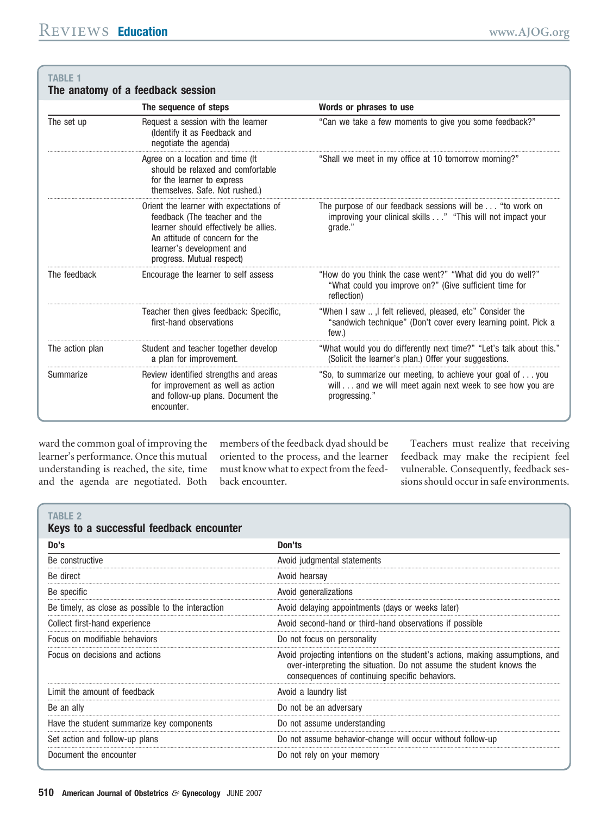# The anatomy of a feedback session

|                 | The sequence of steps                                                                                                                                                                                         | Words or phrases to use                                                                                                                 |  |
|-----------------|---------------------------------------------------------------------------------------------------------------------------------------------------------------------------------------------------------------|-----------------------------------------------------------------------------------------------------------------------------------------|--|
| The set up      | Request a session with the learner<br>(Identify it as Feedback and<br>negotiate the agenda)                                                                                                                   | "Can we take a few moments to give you some feedback?"                                                                                  |  |
|                 | Agree on a location and time (It<br>should be relaxed and comfortable<br>for the learner to express<br>themselves. Safe. Not rushed.)                                                                         | "Shall we meet in my office at 10 tomorrow morning?"                                                                                    |  |
|                 | Orient the learner with expectations of<br>feedback (The teacher and the<br>learner should effectively be allies.<br>An attitude of concern for the<br>learner's development and<br>progress. Mutual respect) | The purpose of our feedback sessions will be "to work on<br>improving your clinical skills" "This will not impact your<br>grade."       |  |
| The feedback    | Encourage the learner to self assess                                                                                                                                                                          | "How do you think the case went?" "What did you do well?"<br>"What could you improve on?" (Give sufficient time for<br>reflection)      |  |
|                 | Teacher then gives feedback: Specific,<br>first-hand observations                                                                                                                                             | "When I saw , I felt relieved, pleased, etc" Consider the<br>"sandwich technique" (Don't cover every learning point. Pick a<br>few.)    |  |
| The action plan | Student and teacher together develop<br>a plan for improvement.                                                                                                                                               | "What would you do differently next time?" "Let's talk about this."<br>(Solicit the learner's plan.) Offer your suggestions.            |  |
| Summarize       | Review identified strengths and areas<br>for improvement as well as action<br>and follow-up plans. Document the<br>encounter.                                                                                 | "So, to summarize our meeting, to achieve your goal of you<br>will and we will meet again next week to see how you are<br>progressing." |  |

ward the common goal of improving the learner's performance. Once this mutual understanding is reached, the site, time and the agenda are negotiated. Both members of the feedback dyad should be oriented to the process, and the learner must know what to expect from the feedback encounter.

Teachers must realize that receiving feedback may make the recipient feel vulnerable. Consequently, feedback sessions should occur in safe environments.

## TABLE 2

| Keys to a successful feedback encounter            |                                                                                                                                                                                                         |  |  |
|----------------------------------------------------|---------------------------------------------------------------------------------------------------------------------------------------------------------------------------------------------------------|--|--|
| Do's                                               | Don'ts                                                                                                                                                                                                  |  |  |
| Be constructive                                    | Avoid judgmental statements                                                                                                                                                                             |  |  |
| Be direct                                          | Avoid hearsay                                                                                                                                                                                           |  |  |
| Be specific                                        | Avoid generalizations                                                                                                                                                                                   |  |  |
| Be timely, as close as possible to the interaction | Avoid delaying appointments (days or weeks later)                                                                                                                                                       |  |  |
| Collect first-hand experience                      | Avoid second-hand or third-hand observations if possible                                                                                                                                                |  |  |
| Focus on modifiable behaviors                      | Do not focus on personality                                                                                                                                                                             |  |  |
| Focus on decisions and actions                     | Avoid projecting intentions on the student's actions, making assumptions, and<br>over-interpreting the situation. Do not assume the student knows the<br>consequences of continuing specific behaviors. |  |  |
| Limit the amount of feedback                       | Avoid a laundry list                                                                                                                                                                                    |  |  |
| Be an ally                                         | Do not be an adversary                                                                                                                                                                                  |  |  |
| Have the student summarize key components          | Do not assume understanding                                                                                                                                                                             |  |  |
| Set action and follow-up plans                     | Do not assume behavior-change will occur without follow-up                                                                                                                                              |  |  |
| Document the encounter                             | Do not rely on your memory                                                                                                                                                                              |  |  |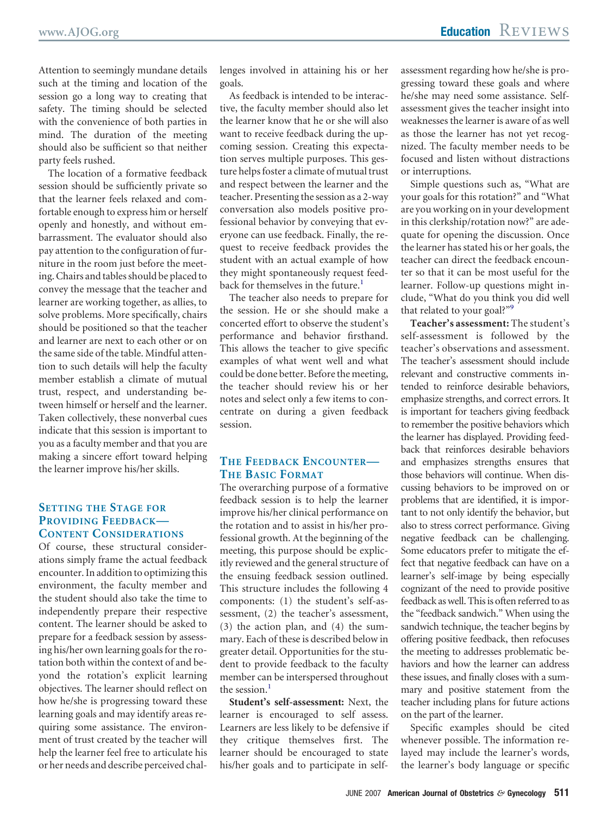Attention to seemingly mundane details such at the timing and location of the session go a long way to creating that safety. The timing should be selected with the convenience of both parties in mind. The duration of the meeting should also be sufficient so that neither party feels rushed.

The location of a formative feedback session should be sufficiently private so that the learner feels relaxed and comfortable enough to express him or herself openly and honestly, and without embarrassment. The evaluator should also pay attention to the configuration of furniture in the room just before the meeting. Chairs and tables should be placed to convey the message that the teacher and learner are working together, as allies, to solve problems. More specifically, chairs should be positioned so that the teacher and learner are next to each other or on the same side of the table. Mindful attention to such details will help the faculty member establish a climate of mutual trust, respect, and understanding between himself or herself and the learner. Taken collectively, these nonverbal cues indicate that this session is important to you as a faculty member and that you are making a sincere effort toward helping the learner improve his/her skills.

## **SETTING THE STAGE FOR PROVIDING FEEDBACK— CONTENT CONSIDERATIONS**

Of course, these structural considerations simply frame the actual feedback encounter. In addition to optimizing this environment, the faculty member and the student should also take the time to independently prepare their respective content. The learner should be asked to prepare for a feedback session by assessing his/her own learning goals for the rotation both within the context of and beyond the rotation's explicit learning objectives. The learner should reflect on how he/she is progressing toward these learning goals and may identify areas requiring some assistance. The environment of trust created by the teacher will help the learner feel free to articulate his or her needs and describe perceived challenges involved in attaining his or her goals.

As feedback is intended to be interactive, the faculty member should also let the learner know that he or she will also want to receive feedback during the upcoming session. Creating this expectation serves multiple purposes. This gesture helps foster a climate of mutual trust and respect between the learner and the teacher. Presenting the session as a 2-way conversation also models positive professional behavior by conveying that everyone can use feedback. Finally, the request to receive feedback provides the student with an actual example of how they might spontaneously request feed-back for themselves in the future.<sup>[1](#page-4-0)</sup>

The teacher also needs to prepare for the session. He or she should make a concerted effort to observe the student's performance and behavior firsthand. This allows the teacher to give specific examples of what went well and what could be done better. Before the meeting, the teacher should review his or her notes and select only a few items to concentrate on during a given feedback session.

# **THE FEEDBACK ENCOUNTER— THE BASIC FORMAT**

The overarching purpose of a formative feedback session is to help the learner improve his/her clinical performance on the rotation and to assist in his/her professional growth. At the beginning of the meeting, this purpose should be explicitly reviewed and the general structure of the ensuing feedback session outlined. This structure includes the following 4 components: (1) the student's self-assessment, (2) the teacher's assessment, (3) the action plan, and (4) the summary. Each of these is described below in greater detail. Opportunities for the student to provide feedback to the faculty member can be interspersed throughout the session.<sup>[1](#page-4-0)</sup>

**Student's self-assessment:** Next, the learner is encouraged to self assess. Learners are less likely to be defensive if they critique themselves first. The learner should be encouraged to state his/her goals and to participate in selfassessment regarding how he/she is progressing toward these goals and where he/she may need some assistance. Selfassessment gives the teacher insight into weaknesses the learner is aware of as well as those the learner has not yet recognized. The faculty member needs to be focused and listen without distractions or interruptions.

Simple questions such as, "What are your goals for this rotation?" and "What are you working on in your development in this clerkship/rotation now?" are adequate for opening the discussion. Once the learner has stated his or her goals, the teacher can direct the feedback encounter so that it can be most useful for the learner. Follow-up questions might include, "What do you think you did well that related to your goal?"[9](#page-5-0)

**Teacher's assessment:** The student's self-assessment is followed by the teacher's observations and assessment. The teacher's assessment should include relevant and constructive comments intended to reinforce desirable behaviors, emphasize strengths, and correct errors. It is important for teachers giving feedback to remember the positive behaviors which the learner has displayed. Providing feedback that reinforces desirable behaviors and emphasizes strengths ensures that those behaviors will continue. When discussing behaviors to be improved on or problems that are identified, it is important to not only identify the behavior, but also to stress correct performance. Giving negative feedback can be challenging. Some educators prefer to mitigate the effect that negative feedback can have on a learner's self-image by being especially cognizant of the need to provide positive feedback as well. This is often referred to as the "feedback sandwich." When using the sandwich technique, the teacher begins by offering positive feedback, then refocuses the meeting to addresses problematic behaviors and how the learner can address these issues, and finally closes with a summary and positive statement from the teacher including plans for future actions on the part of the learner.

Specific examples should be cited whenever possible. The information relayed may include the learner's words, the learner's body language or specific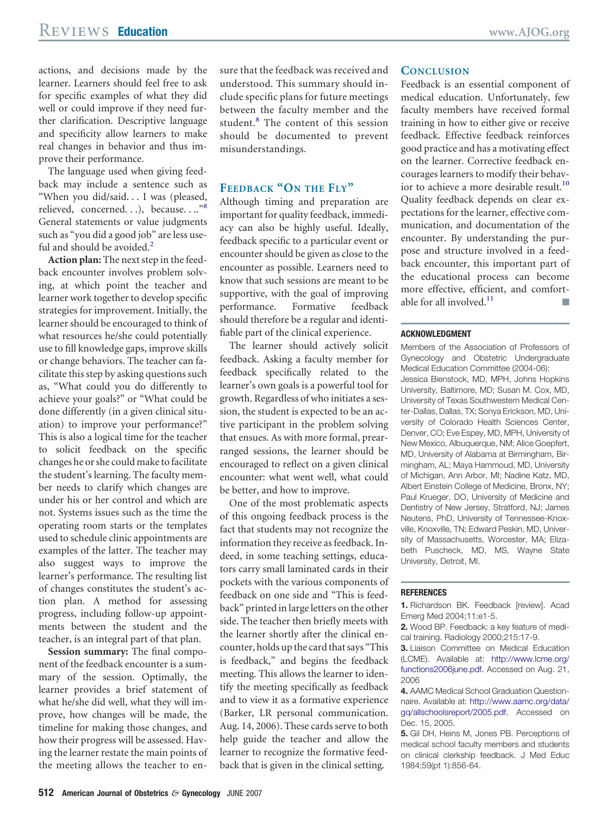<span id="page-4-0"></span>actions, and decisions made by the learner. Learners should feel free to ask for specific examples of what they did well or could improve if they need further clarification. Descriptive language and specificity allow learners to make real changes in behavior and thus improve their performance.

The language used when giving feedback may include a sentence such as "When you did/said. . . I was (pleased, relieved, concerned. . .), because. . .."[8](#page-5-0) General statements or value judgments such as "you did a good job" are less useful and should be avoided.<sup>2</sup>

**Action plan:** The next step in the feedback encounter involves problem solving, at which point the teacher and learner work together to develop specific strategies for improvement. Initially, the learner should be encouraged to think of what resources he/she could potentially use to fill knowledge gaps, improve skills or change behaviors. The teacher can facilitate this step by asking questions such as, "What could you do differently to achieve your goals?" or "What could be done differently (in a given clinical situation) to improve your performance?" This is also a logical time for the teacher to solicit feedback on the specific changes he or she could make to facilitate the student's learning. The faculty member needs to clarify which changes are under his or her control and which are not. Systems issues such as the time the operating room starts or the templates used to schedule clinic appointments are examples of the latter. The teacher may also suggest ways to improve the learner's performance. The resulting list of changes constitutes the student's action plan. A method for assessing progress, including follow-up appointments between the student and the teacher, is an integral part of that plan.

**Session summary:** The final component of the feedback encounter is a summary of the session. Optimally, the learner provides a brief statement of what he/she did well, what they will improve, how changes will be made, the timeline for making those changes, and how their progress will be assessed. Having the learner restate the main points of the meeting allows the teacher to en-

sure that the feedback was received and understood. This summary should include specific plans for future meetings between the faculty member and the student.<sup>[8](#page-5-0)</sup> The content of this session should be documented to prevent misunderstandings.

# **FEEDBACK "ON THE FLY"**

Although timing and preparation are important for quality feedback, immediacy can also be highly useful. Ideally, feedback specific to a particular event or encounter should be given as close to the encounter as possible. Learners need to know that such sessions are meant to be supportive, with the goal of improving performance. Formative feedback should therefore be a regular and identifiable part of the clinical experience.

The learner should actively solicit feedback. Asking a faculty member for feedback specifically related to the learner's own goals is a powerful tool for growth. Regardless of who initiates a session, the student is expected to be an active participant in the problem solving that ensues. As with more formal, prearranged sessions, the learner should be encouraged to reflect on a given clinical encounter: what went well, what could be better, and how to improve.

One of the most problematic aspects of this ongoing feedback process is the fact that students may not recognize the information they receive as feedback. Indeed, in some teaching settings, educators carry small laminated cards in their pockets with the various components of feedback on one side and "This is feedback" printed in large letters on the other side. The teacher then briefly meets with the learner shortly after the clinical encounter, holds up the card that says "This is feedback," and begins the feedback meeting. This allows the learner to identify the meeting specifically as feedback and to view it as a formative experience (Barker, LR personal communication. Aug. 14, 2006). These cards serve to both help guide the teacher and allow the learner to recognize the formative feedback that is given in the clinical setting.

#### **CONCLUSION**

Feedback is an essential component of medical education. Unfortunately, few faculty members have received formal training in how to either give or receive feedback. Effective feedback reinforces good practice and has a motivating effect on the learner. Corrective feedback encourages learners to modify their behavior to achieve a more desirable result.<sup>10</sup> Quality feedback depends on clear expectations for the learner, effective communication, and documentation of the encounter. By understanding the purpose and structure involved in a feedback encounter, this important part of the educational process can become more effective, efficient, and comfortable for all involved.<sup>11</sup>

#### **ACKNOWLEDGMENT**

Members of the Association of Professors of Gynecology and Obstetric Undergraduate Medical Education Committee (2004-06): Jessica Bienstock, MD, MPH, Johns Hopkins University, Baltimore, MD; Susan M. Cox, MD, University of Texas Southwestern Medical Center-Dallas, Dallas, TX; Sonya Erickson, MD, University of Colorado Health Sciences Center, Denver, CO; Eve Espey, MD, MPH, University of New Mexico, Albuquerque, NM; Alice Goepfert, MD, University of Alabama at Birmingham, Birmingham, AL; Maya Hammoud, MD, University of Michigan, Ann Arbor, MI; Nadine Katz, MD, Albert Einstein College of Medicine, Bronx, NY; Paul Krueger, DO, University of Medicine and Dentistry of New Jersey, Stratford, NJ; James Neutens, PhD, University of Tennessee-Knoxville, Knoxville, TN; Edward Peskin, MD, University of Massachusetts, Worcester, MA; Elizabeth Puscheck, MD, MS, Wayne State University, Detroit, MI.

#### **REFERENCES**

**1.** Richardson BK. Feedback [review]. Acad Emerg Med 2004;11:e1-5.

**2.** Wood BP. Feedback: a key feature of medical training. Radiology 2000;215:17-9.

**3.** Liaison Committee on Medical Education (LCME). Available at: [http://www.lcme.org/](http://www.lcme.org/functions2006june.pdf) [functions2006june.pdf.](http://www.lcme.org/functions2006june.pdf) Accessed on Aug. 21, 2006

**4.** AAMC Medical School Graduation Questionnaire. Available at: [http://www.aamc.org/data/](http://www.aamc.org/data/gq/allschoolsreport/2005.pdf) [gq/allschoolsreport/2005.pdf.](http://www.aamc.org/data/gq/allschoolsreport/2005.pdf) Accessed on Dec. 15, 2005.

**5.** Gil DH, Heins M, Jones PB. Perceptions of medical school faculty members and students on clinical clerkship feedback. J Med Educ 1984;59(pt 1):856-64.